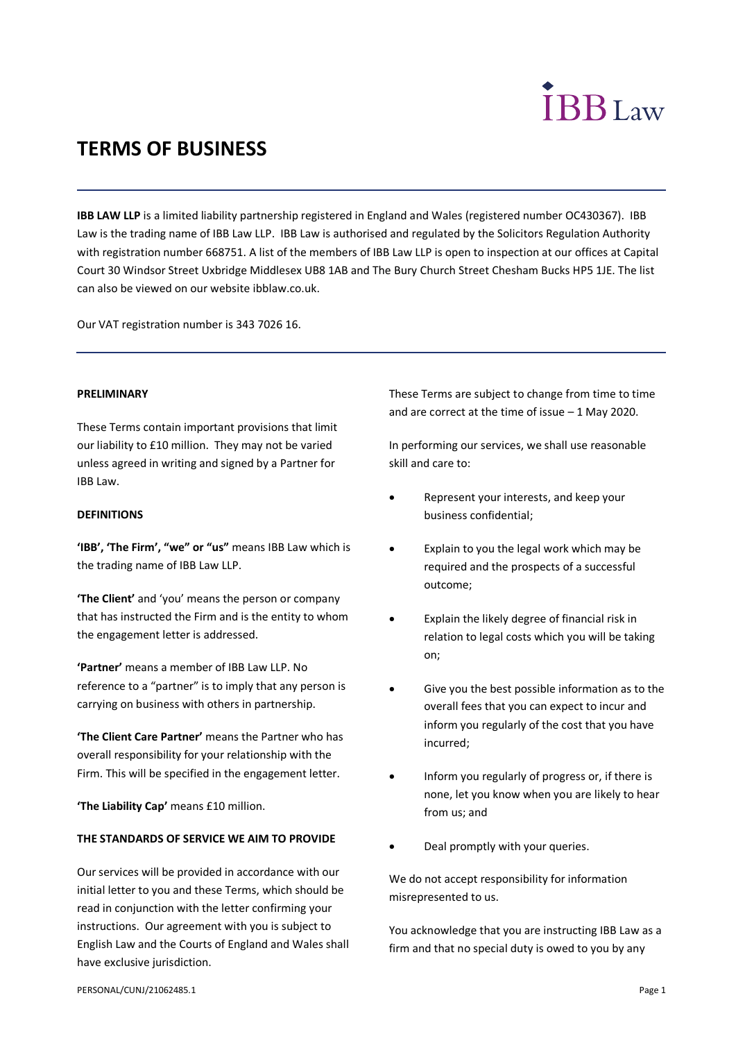# **IBB**Law

# **TERMS OF BUSINESS**

**IBB LAW LLP** is a limited liability partnership registered in England and Wales (registered number OC430367). IBB Law is the trading name of IBB Law LLP. IBB Law is authorised and regulated by the Solicitors Regulation Authority with registration number 668751. A list of the members of IBB Law LLP is open to inspection at our offices at Capital Court 30 Windsor Street Uxbridge Middlesex UB8 1AB and The Bury Church Street Chesham Bucks HP5 1JE. The list can also be viewed on our website ibblaw.co.uk.

Our VAT registration number is 343 7026 16.

# **PRELIMINARY**

These Terms contain important provisions that limit our liability to £10 million. They may not be varied unless agreed in writing and signed by a Partner for IBB Law.

# **DEFINITIONS**

**'IBB', 'The Firm', "we" or "us"** means IBB Law which is the trading name of IBB Law LLP.

**'The Client'** and 'you' means the person or company that has instructed the Firm and is the entity to whom the engagement letter is addressed.

**'Partner'** means a member of IBB Law LLP. No reference to a "partner" is to imply that any person is carrying on business with others in partnership.

**'The Client Care Partner'** means the Partner who has overall responsibility for your relationship with the Firm. This will be specified in the engagement letter.

**'The Liability Cap'** means £10 million.

# **THE STANDARDS OF SERVICE WE AIM TO PROVIDE**

Our services will be provided in accordance with our initial letter to you and these Terms, which should be read in conjunction with the letter confirming your instructions. Our agreement with you is subject to English Law and the Courts of England and Wales shall have exclusive jurisdiction.

These Terms are subject to change from time to time and are correct at the time of issue – 1 May 2020.

In performing our services, we shall use reasonable skill and care to:

- Represent your interests, and keep your business confidential;
- Explain to you the legal work which may be required and the prospects of a successful outcome;
- Explain the likely degree of financial risk in relation to legal costs which you will be taking on;
- Give you the best possible information as to the overall fees that you can expect to incur and inform you regularly of the cost that you have incurred;
- Inform you regularly of progress or, if there is none, let you know when you are likely to hear from us; and
- Deal promptly with your queries.

We do not accept responsibility for information misrepresented to us.

You acknowledge that you are instructing IBB Law as a firm and that no special duty is owed to you by any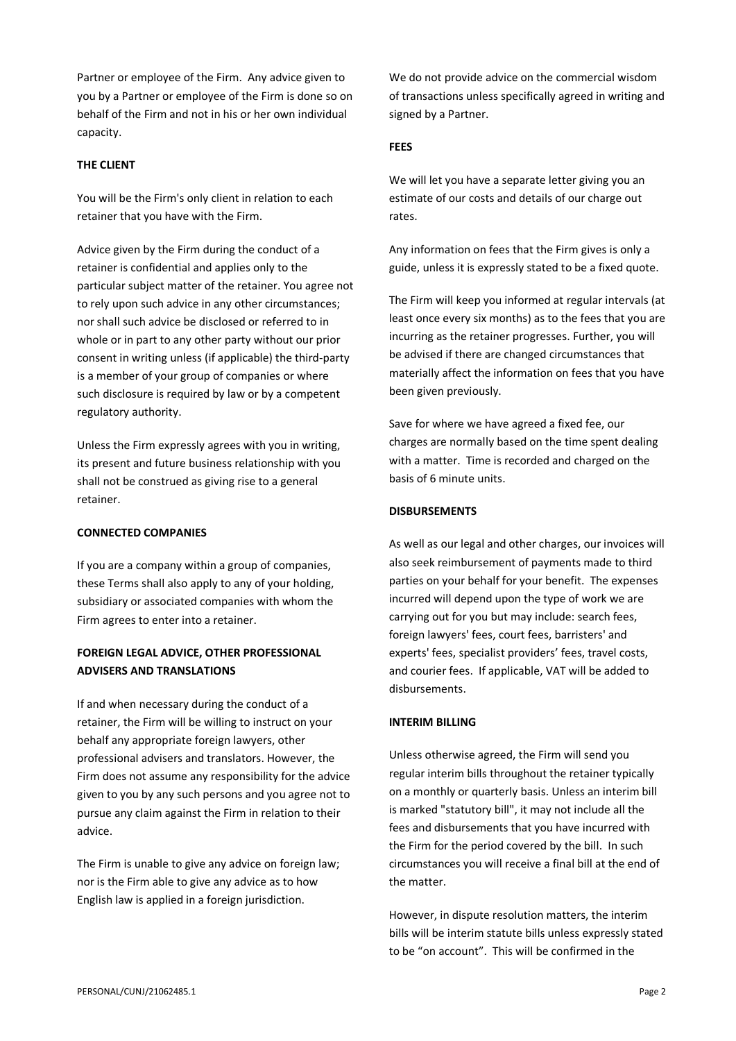Partner or employee of the Firm. Any advice given to you by a Partner or employee of the Firm is done so on behalf of the Firm and not in his or her own individual capacity.

# **THE CLIENT**

You will be the Firm's only client in relation to each retainer that you have with the Firm.

Advice given by the Firm during the conduct of a retainer is confidential and applies only to the particular subject matter of the retainer. You agree not to rely upon such advice in any other circumstances; nor shall such advice be disclosed or referred to in whole or in part to any other party without our prior consent in writing unless (if applicable) the third-party is a member of your group of companies or where such disclosure is required by law or by a competent regulatory authority.

Unless the Firm expressly agrees with you in writing, its present and future business relationship with you shall not be construed as giving rise to a general retainer.

# **CONNECTED COMPANIES**

If you are a company within a group of companies, these Terms shall also apply to any of your holding, subsidiary or associated companies with whom the Firm agrees to enter into a retainer.

# **FOREIGN LEGAL ADVICE, OTHER PROFESSIONAL ADVISERS AND TRANSLATIONS**

If and when necessary during the conduct of a retainer, the Firm will be willing to instruct on your behalf any appropriate foreign lawyers, other professional advisers and translators. However, the Firm does not assume any responsibility for the advice given to you by any such persons and you agree not to pursue any claim against the Firm in relation to their advice.

The Firm is unable to give any advice on foreign law; nor is the Firm able to give any advice as to how English law is applied in a foreign jurisdiction.

We do not provide advice on the commercial wisdom of transactions unless specifically agreed in writing and signed by a Partner.

# **FEES**

We will let you have a separate letter giving you an estimate of our costs and details of our charge out rates.

Any information on fees that the Firm gives is only a guide, unless it is expressly stated to be a fixed quote.

The Firm will keep you informed at regular intervals (at least once every six months) as to the fees that you are incurring as the retainer progresses. Further, you will be advised if there are changed circumstances that materially affect the information on fees that you have been given previously.

Save for where we have agreed a fixed fee, our charges are normally based on the time spent dealing with a matter. Time is recorded and charged on the basis of 6 minute units.

# **DISBURSEMENTS**

As well as our legal and other charges, our invoices will also seek reimbursement of payments made to third parties on your behalf for your benefit. The expenses incurred will depend upon the type of work we are carrying out for you but may include: search fees, foreign lawyers' fees, court fees, barristers' and experts' fees, specialist providers' fees, travel costs, and courier fees. If applicable, VAT will be added to disbursements.

# **INTERIM BILLING**

Unless otherwise agreed, the Firm will send you regular interim bills throughout the retainer typically on a monthly or quarterly basis. Unless an interim bill is marked "statutory bill", it may not include all the fees and disbursements that you have incurred with the Firm for the period covered by the bill. In such circumstances you will receive a final bill at the end of the matter.

However, in dispute resolution matters, the interim bills will be interim statute bills unless expressly stated to be "on account". This will be confirmed in the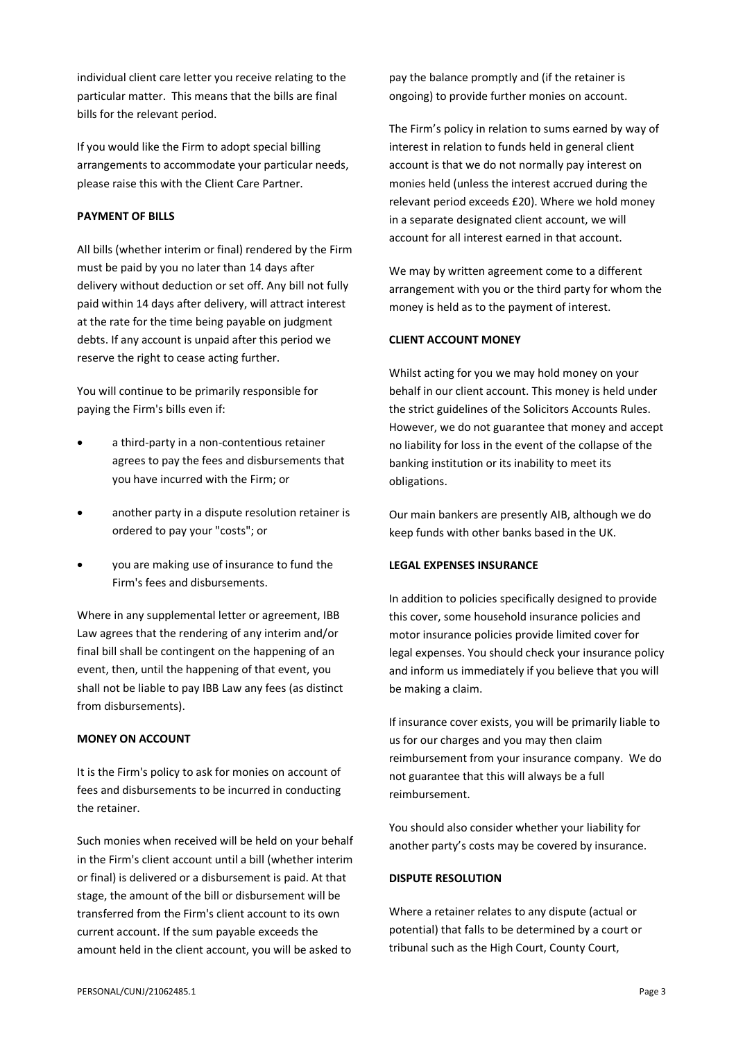individual client care letter you receive relating to the particular matter. This means that the bills are final bills for the relevant period.

If you would like the Firm to adopt special billing arrangements to accommodate your particular needs, please raise this with the Client Care Partner.

# **PAYMENT OF BILLS**

All bills (whether interim or final) rendered by the Firm must be paid by you no later than 14 days after delivery without deduction or set off. Any bill not fully paid within 14 days after delivery, will attract interest at the rate for the time being payable on judgment debts. If any account is unpaid after this period we reserve the right to cease acting further.

You will continue to be primarily responsible for paying the Firm's bills even if:

- a third-party in a non-contentious retainer agrees to pay the fees and disbursements that you have incurred with the Firm; or
- another party in a dispute resolution retainer is ordered to pay your "costs"; or
- you are making use of insurance to fund the Firm's fees and disbursements.

Where in any supplemental letter or agreement, IBB Law agrees that the rendering of any interim and/or final bill shall be contingent on the happening of an event, then, until the happening of that event, you shall not be liable to pay IBB Law any fees (as distinct from disbursements).

# **MONEY ON ACCOUNT**

It is the Firm's policy to ask for monies on account of fees and disbursements to be incurred in conducting the retainer.

Such monies when received will be held on your behalf in the Firm's client account until a bill (whether interim or final) is delivered or a disbursement is paid. At that stage, the amount of the bill or disbursement will be transferred from the Firm's client account to its own current account. If the sum payable exceeds the amount held in the client account, you will be asked to

pay the balance promptly and (if the retainer is ongoing) to provide further monies on account.

The Firm's policy in relation to sums earned by way of interest in relation to funds held in general client account is that we do not normally pay interest on monies held (unless the interest accrued during the relevant period exceeds £20). Where we hold money in a separate designated client account, we will account for all interest earned in that account.

We may by written agreement come to a different arrangement with you or the third party for whom the money is held as to the payment of interest.

### **CLIENT ACCOUNT MONEY**

Whilst acting for you we may hold money on your behalf in our client account. This money is held under the strict guidelines of the Solicitors Accounts Rules. However, we do not guarantee that money and accept no liability for loss in the event of the collapse of the banking institution or its inability to meet its obligations.

Our main bankers are presently AIB, although we do keep funds with other banks based in the UK.

# **LEGAL EXPENSES INSURANCE**

In addition to policies specifically designed to provide this cover, some household insurance policies and motor insurance policies provide limited cover for legal expenses. You should check your insurance policy and inform us immediately if you believe that you will be making a claim.

If insurance cover exists, you will be primarily liable to us for our charges and you may then claim reimbursement from your insurance company. We do not guarantee that this will always be a full reimbursement.

You should also consider whether your liability for another party's costs may be covered by insurance.

# **DISPUTE RESOLUTION**

Where a retainer relates to any dispute (actual or potential) that falls to be determined by a court or tribunal such as the High Court, County Court,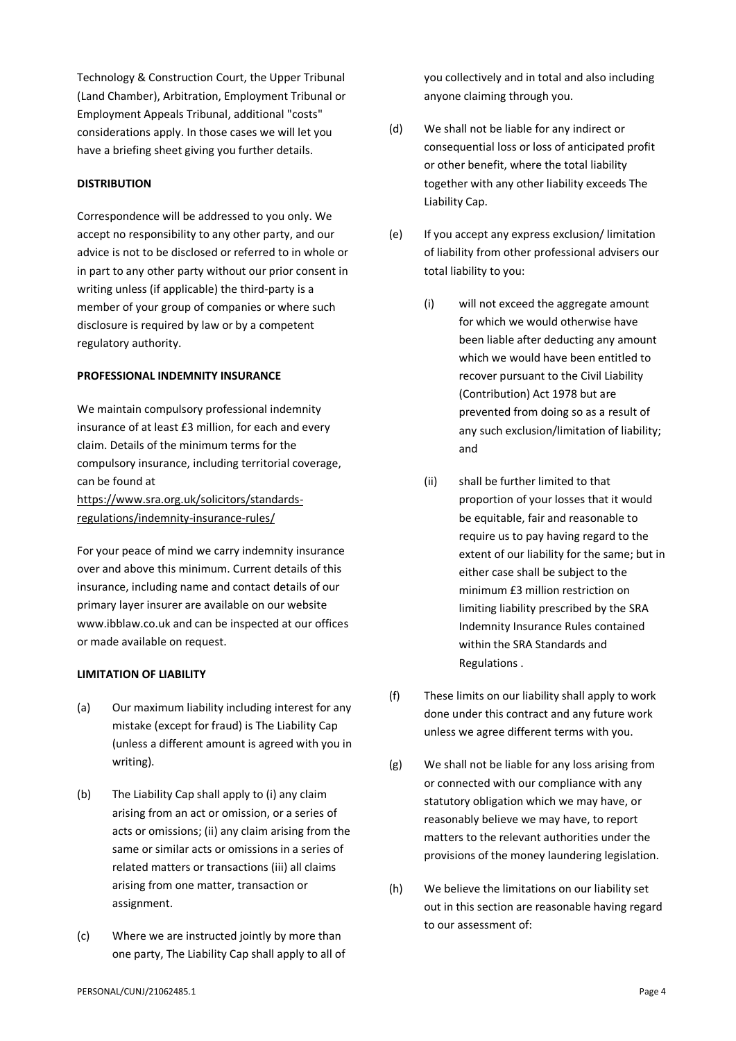Technology & Construction Court, the Upper Tribunal (Land Chamber), Arbitration, Employment Tribunal or Employment Appeals Tribunal, additional "costs" considerations apply. In those cases we will let you have a briefing sheet giving you further details.

# **DISTRIBUTION**

Correspondence will be addressed to you only. We accept no responsibility to any other party, and our advice is not to be disclosed or referred to in whole or in part to any other party without our prior consent in writing unless (if applicable) the third-party is a member of your group of companies or where such disclosure is required by law or by a competent regulatory authority.

## **PROFESSIONAL INDEMNITY INSURANCE**

We maintain compulsory professional indemnity insurance of at least £3 million, for each and every claim. Details of the minimum terms for the compulsory insurance, including territorial coverage, can be found at [https://www.sra.org.uk/solicitors/standards](https://www.sra.org.uk/solicitors/standards-regulations/indemnity-insurance-rules/)[regulations/indemnity-insurance-rules/](https://www.sra.org.uk/solicitors/standards-regulations/indemnity-insurance-rules/)

For your peace of mind we carry indemnity insurance over and above this minimum. Current details of this insurance, including name and contact details of our primary layer insurer are available on our website www.ibblaw.co.uk and can be inspected at our offices or made available on request.

# **LIMITATION OF LIABILITY**

- (a) Our maximum liability including interest for any mistake (except for fraud) is The Liability Cap (unless a different amount is agreed with you in writing).
- (b) The Liability Cap shall apply to (i) any claim arising from an act or omission, or a series of acts or omissions; (ii) any claim arising from the same or similar acts or omissions in a series of related matters or transactions (iii) all claims arising from one matter, transaction or assignment.
- (c) Where we are instructed jointly by more than one party, The Liability Cap shall apply to all of

you collectively and in total and also including anyone claiming through you.

- (d) We shall not be liable for any indirect or consequential loss or loss of anticipated profit or other benefit, where the total liability together with any other liability exceeds The Liability Cap.
- (e) If you accept any express exclusion/ limitation of liability from other professional advisers our total liability to you:
	- (i) will not exceed the aggregate amount for which we would otherwise have been liable after deducting any amount which we would have been entitled to recover pursuant to the Civil Liability (Contribution) Act 1978 but are prevented from doing so as a result of any such exclusion/limitation of liability; and
	- (ii) shall be further limited to that proportion of your losses that it would be equitable, fair and reasonable to require us to pay having regard to the extent of our liability for the same; but in either case shall be subject to the minimum £3 million restriction on limiting liability prescribed by the SRA Indemnity Insurance Rules contained within the SRA Standards and Regulations .
- (f) These limits on our liability shall apply to work done under this contract and any future work unless we agree different terms with you.
- (g) We shall not be liable for any loss arising from or connected with our compliance with any statutory obligation which we may have, or reasonably believe we may have, to report matters to the relevant authorities under the provisions of the money laundering legislation.
- (h) We believe the limitations on our liability set out in this section are reasonable having regard to our assessment of: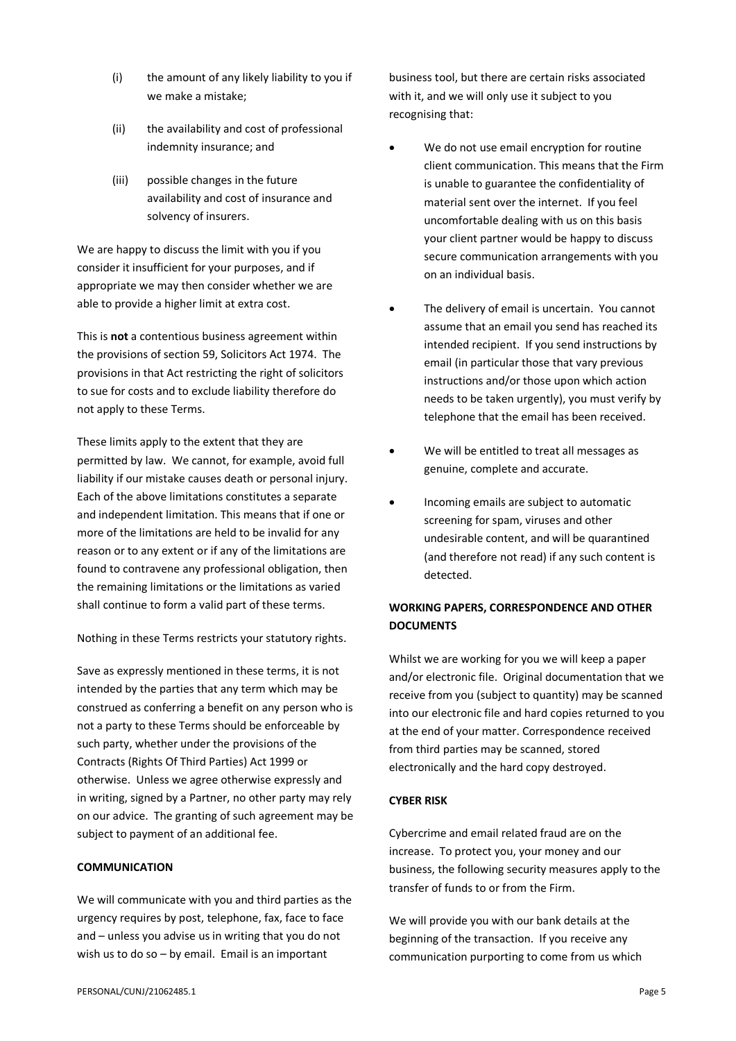- (i) the amount of any likely liability to you if we make a mistake;
- (ii) the availability and cost of professional indemnity insurance; and
- (iii) possible changes in the future availability and cost of insurance and solvency of insurers.

We are happy to discuss the limit with you if you consider it insufficient for your purposes, and if appropriate we may then consider whether we are able to provide a higher limit at extra cost.

This is **not** a contentious business agreement within the provisions of section 59, Solicitors Act 1974. The provisions in that Act restricting the right of solicitors to sue for costs and to exclude liability therefore do not apply to these Terms.

These limits apply to the extent that they are permitted by law. We cannot, for example, avoid full liability if our mistake causes death or personal injury. Each of the above limitations constitutes a separate and independent limitation. This means that if one or more of the limitations are held to be invalid for any reason or to any extent or if any of the limitations are found to contravene any professional obligation, then the remaining limitations or the limitations as varied shall continue to form a valid part of these terms.

Nothing in these Terms restricts your statutory rights.

Save as expressly mentioned in these terms, it is not intended by the parties that any term which may be construed as conferring a benefit on any person who is not a party to these Terms should be enforceable by such party, whether under the provisions of the Contracts (Rights Of Third Parties) Act 1999 or otherwise. Unless we agree otherwise expressly and in writing, signed by a Partner, no other party may rely on our advice. The granting of such agreement may be subject to payment of an additional fee.

# **COMMUNICATION**

We will communicate with you and third parties as the urgency requires by post, telephone, fax, face to face and – unless you advise us in writing that you do not wish us to do so – by email. Email is an important

business tool, but there are certain risks associated with it, and we will only use it subject to you recognising that:

- We do not use email encryption for routine client communication. This means that the Firm is unable to guarantee the confidentiality of material sent over the internet. If you feel uncomfortable dealing with us on this basis your client partner would be happy to discuss secure communication arrangements with you on an individual basis.
- The delivery of email is uncertain. You cannot assume that an email you send has reached its intended recipient. If you send instructions by email (in particular those that vary previous instructions and/or those upon which action needs to be taken urgently), you must verify by telephone that the email has been received.
- We will be entitled to treat all messages as genuine, complete and accurate.
- Incoming emails are subject to automatic screening for spam, viruses and other undesirable content, and will be quarantined (and therefore not read) if any such content is detected.

# **WORKING PAPERS, CORRESPONDENCE AND OTHER DOCUMENTS**

Whilst we are working for you we will keep a paper and/or electronic file. Original documentation that we receive from you (subject to quantity) may be scanned into our electronic file and hard copies returned to you at the end of your matter. Correspondence received from third parties may be scanned, stored electronically and the hard copy destroyed.

# **CYBER RISK**

Cybercrime and email related fraud are on the increase. To protect you, your money and our business, the following security measures apply to the transfer of funds to or from the Firm.

We will provide you with our bank details at the beginning of the transaction. If you receive any communication purporting to come from us which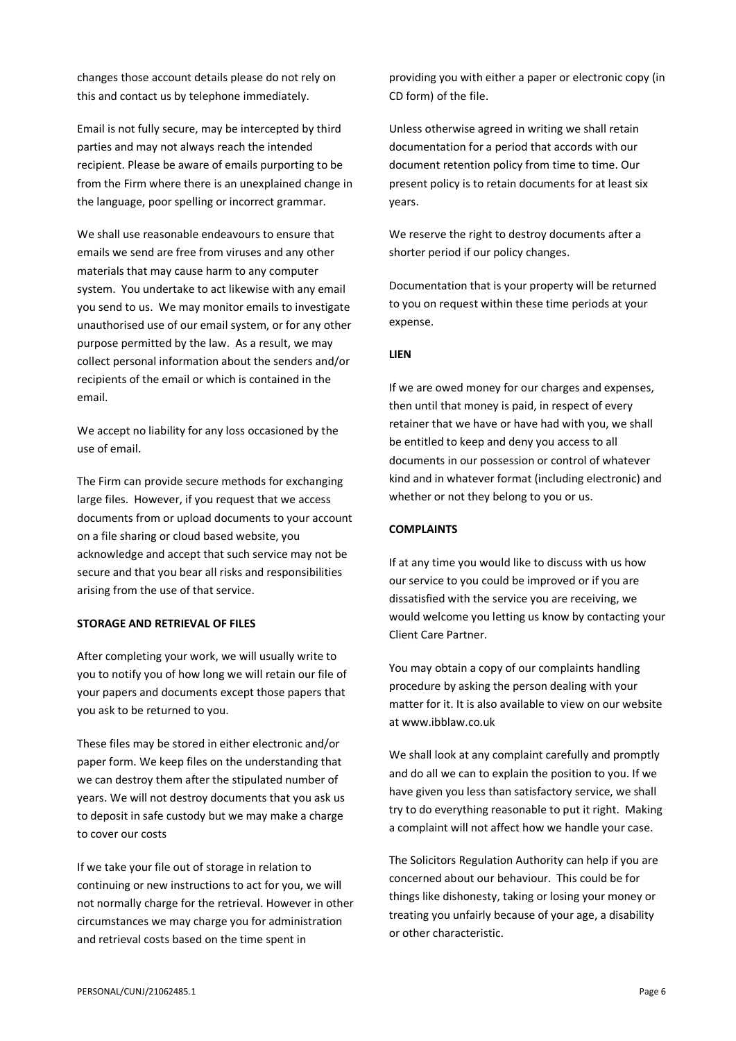changes those account details please do not rely on this and contact us by telephone immediately.

Email is not fully secure, may be intercepted by third parties and may not always reach the intended recipient. Please be aware of emails purporting to be from the Firm where there is an unexplained change in the language, poor spelling or incorrect grammar.

We shall use reasonable endeavours to ensure that emails we send are free from viruses and any other materials that may cause harm to any computer system. You undertake to act likewise with any email you send to us. We may monitor emails to investigate unauthorised use of our email system, or for any other purpose permitted by the law. As a result, we may collect personal information about the senders and/or recipients of the email or which is contained in the email.

We accept no liability for any loss occasioned by the use of email.

The Firm can provide secure methods for exchanging large files. However, if you request that we access documents from or upload documents to your account on a file sharing or cloud based website, you acknowledge and accept that such service may not be secure and that you bear all risks and responsibilities arising from the use of that service.

# **STORAGE AND RETRIEVAL OF FILES**

After completing your work, we will usually write to you to notify you of how long we will retain our file of your papers and documents except those papers that you ask to be returned to you.

These files may be stored in either electronic and/or paper form. We keep files on the understanding that we can destroy them after the stipulated number of years. We will not destroy documents that you ask us to deposit in safe custody but we may make a charge to cover our costs

If we take your file out of storage in relation to continuing or new instructions to act for you, we will not normally charge for the retrieval. However in other circumstances we may charge you for administration and retrieval costs based on the time spent in

providing you with either a paper or electronic copy (in CD form) of the file.

Unless otherwise agreed in writing we shall retain documentation for a period that accords with our document retention policy from time to time. Our present policy is to retain documents for at least six years.

We reserve the right to destroy documents after a shorter period if our policy changes.

Documentation that is your property will be returned to you on request within these time periods at your expense.

#### **LIEN**

If we are owed money for our charges and expenses, then until that money is paid, in respect of every retainer that we have or have had with you, we shall be entitled to keep and deny you access to all documents in our possession or control of whatever kind and in whatever format (including electronic) and whether or not they belong to you or us.

# **COMPLAINTS**

If at any time you would like to discuss with us how our service to you could be improved or if you are dissatisfied with the service you are receiving, we would welcome you letting us know by contacting your Client Care Partner.

You may obtain a copy of our complaints handling procedure by asking the person dealing with your matter for it. It is also available to view on our website at www.ibblaw.co.uk

We shall look at any complaint carefully and promptly and do all we can to explain the position to you. If we have given you less than satisfactory service, we shall try to do everything reasonable to put it right. Making a complaint will not affect how we handle your case.

The Solicitors Regulation Authority can help if you are concerned about our behaviour. This could be for things like dishonesty, taking or losing your money or treating you unfairly because of your age, a disability or other characteristic.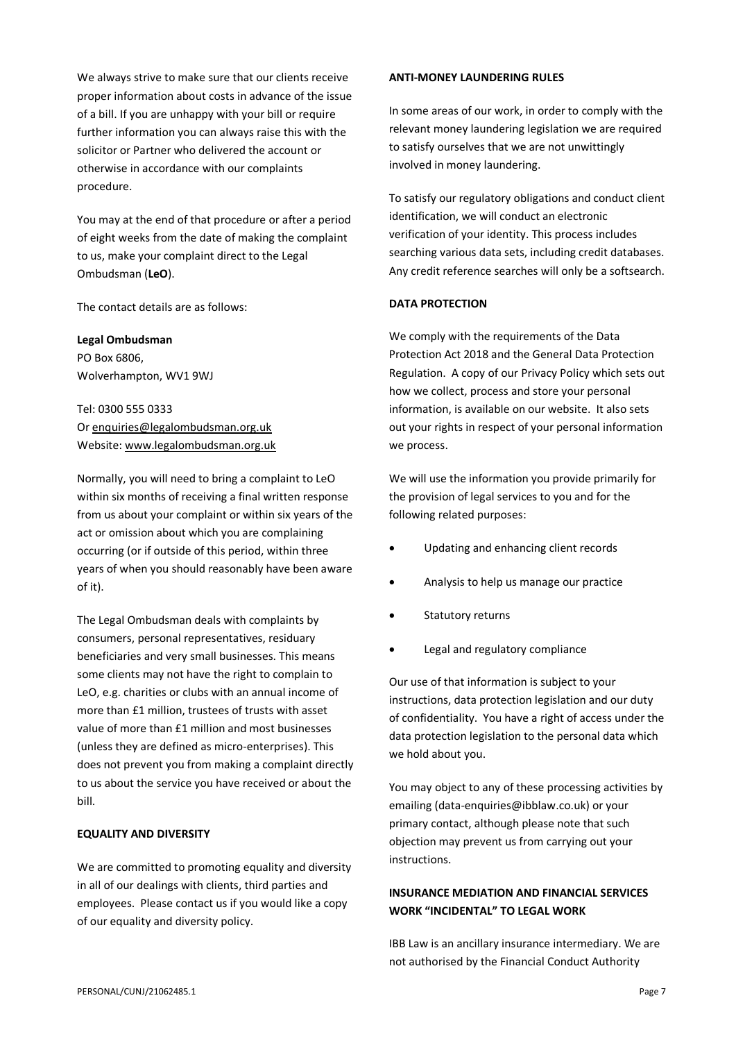We always strive to make sure that our clients receive proper information about costs in advance of the issue of a bill. If you are unhappy with your bill or require further information you can always raise this with the solicitor or Partner who delivered the account or otherwise in accordance with our complaints procedure.

You may at the end of that procedure or after a period of eight weeks from the date of making the complaint to us, make your complaint direct to the Legal Ombudsman (**LeO**).

The contact details are as follows:

**Legal Ombudsman**

PO Box 6806, Wolverhampton, WV1 9WJ

Tel: 0300 555 0333 O[r enquiries@legalombudsman.org.uk](mailto:enquiries@legalombudsman.org.uk) Website: [www.legalombudsman.org.uk](http://www.legalombudsman.org.uk/)

Normally, you will need to bring a complaint to LeO within six months of receiving a final written response from us about your complaint or within six years of the act or omission about which you are complaining occurring (or if outside of this period, within three years of when you should reasonably have been aware of it).

The Legal Ombudsman deals with complaints by consumers, personal representatives, residuary beneficiaries and very small businesses. This means some clients may not have the right to complain to LeO, e.g. charities or clubs with an annual income of more than £1 million, trustees of trusts with asset value of more than £1 million and most businesses (unless they are defined as micro-enterprises). This does not prevent you from making a complaint directly to us about the service you have received or about the bill.

# **EQUALITY AND DIVERSITY**

We are committed to promoting equality and diversity in all of our dealings with clients, third parties and employees. Please contact us if you would like a copy of our equality and diversity policy.

### **ANTI-MONEY LAUNDERING RULES**

In some areas of our work, in order to comply with the relevant money laundering legislation we are required to satisfy ourselves that we are not unwittingly involved in money laundering.

To satisfy our regulatory obligations and conduct client identification, we will conduct an electronic verification of your identity. This process includes searching various data sets, including credit databases. Any credit reference searches will only be a softsearch.

# **DATA PROTECTION**

We comply with the requirements of the Data Protection Act 2018 and the General Data Protection Regulation. A copy of our Privacy Policy which sets out how we collect, process and store your personal information, is available on our website. It also sets out your rights in respect of your personal information we process.

We will use the information you provide primarily for the provision of legal services to you and for the following related purposes:

- Updating and enhancing client records
- Analysis to help us manage our practice
- Statutory returns
- Legal and regulatory compliance

Our use of that information is subject to your instructions, data protection legislation and our duty of confidentiality. You have a right of access under the data protection legislation to the personal data which we hold about you.

You may object to any of these processing activities by emailing (data-enquiries@ibblaw.co.uk) or your primary contact, although please note that such objection may prevent us from carrying out your instructions.

# **INSURANCE MEDIATION AND FINANCIAL SERVICES WORK "INCIDENTAL" TO LEGAL WORK**

IBB Law is an ancillary insurance intermediary. We are not authorised by the Financial Conduct Authority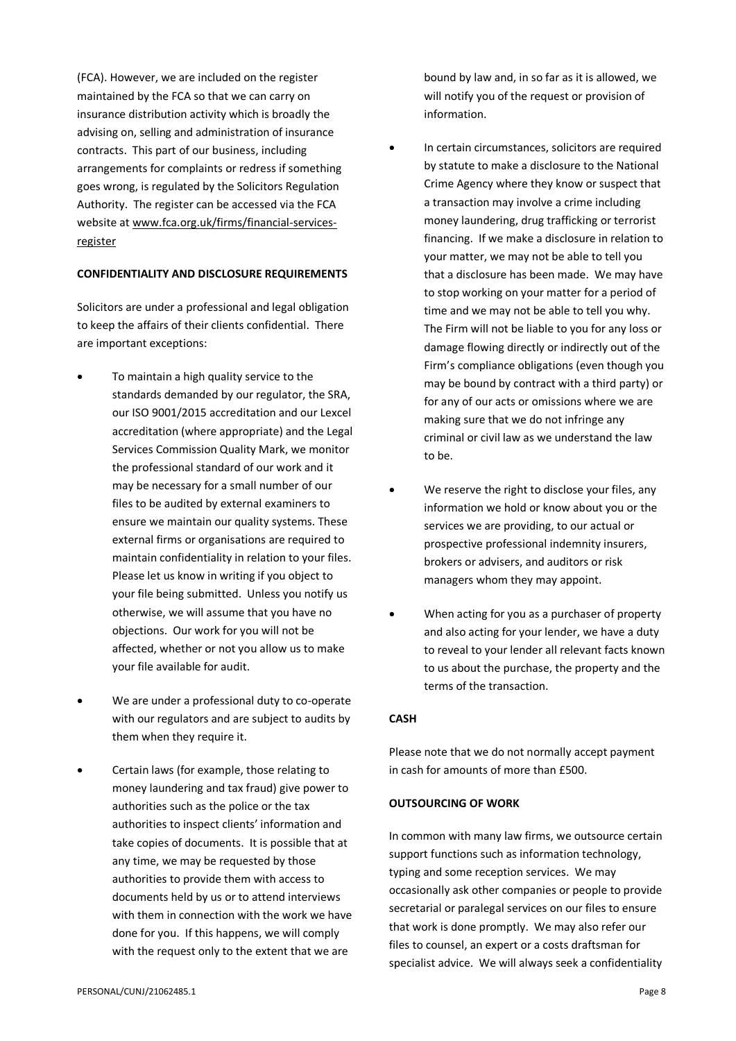(FCA). However, we are included on the register maintained by the FCA so that we can carry on insurance distribution activity which is broadly the advising on, selling and administration of insurance contracts. This part of our business, including arrangements for complaints or redress if something goes wrong, is regulated by the Solicitors Regulation Authority. The register can be accessed via the FCA website at [www.fca.org.uk/firms/financial-services](http://www.fca.org.uk/firms/financial-services-register)[register](http://www.fca.org.uk/firms/financial-services-register)

# **CONFIDENTIALITY AND DISCLOSURE REQUIREMENTS**

Solicitors are under a professional and legal obligation to keep the affairs of their clients confidential. There are important exceptions:

- To maintain a high quality service to the standards demanded by our regulator, the SRA, our ISO 9001/2015 accreditation and our Lexcel accreditation (where appropriate) and the Legal Services Commission Quality Mark, we monitor the professional standard of our work and it may be necessary for a small number of our files to be audited by external examiners to ensure we maintain our quality systems. These external firms or organisations are required to maintain confidentiality in relation to your files. Please let us know in writing if you object to your file being submitted. Unless you notify us otherwise, we will assume that you have no objections. Our work for you will not be affected, whether or not you allow us to make your file available for audit.
- We are under a professional duty to co-operate with our regulators and are subject to audits by them when they require it.
- Certain laws (for example, those relating to money laundering and tax fraud) give power to authorities such as the police or the tax authorities to inspect clients' information and take copies of documents. It is possible that at any time, we may be requested by those authorities to provide them with access to documents held by us or to attend interviews with them in connection with the work we have done for you. If this happens, we will comply with the request only to the extent that we are

bound by law and, in so far as it is allowed, we will notify you of the request or provision of information.

- In certain circumstances, solicitors are required by statute to make a disclosure to the National Crime Agency where they know or suspect that a transaction may involve a crime including money laundering, drug trafficking or terrorist financing. If we make a disclosure in relation to your matter, we may not be able to tell you that a disclosure has been made. We may have to stop working on your matter for a period of time and we may not be able to tell you why. The Firm will not be liable to you for any loss or damage flowing directly or indirectly out of the Firm's compliance obligations (even though you may be bound by contract with a third party) or for any of our acts or omissions where we are making sure that we do not infringe any criminal or civil law as we understand the law to be.
- We reserve the right to disclose your files, any information we hold or know about you or the services we are providing, to our actual or prospective professional indemnity insurers, brokers or advisers, and auditors or risk managers whom they may appoint.
- When acting for you as a purchaser of property and also acting for your lender, we have a duty to reveal to your lender all relevant facts known to us about the purchase, the property and the terms of the transaction.

# **CASH**

Please note that we do not normally accept payment in cash for amounts of more than £500.

# **OUTSOURCING OF WORK**

In common with many law firms, we outsource certain support functions such as information technology, typing and some reception services. We may occasionally ask other companies or people to provide secretarial or paralegal services on our files to ensure that work is done promptly. We may also refer our files to counsel, an expert or a costs draftsman for specialist advice. We will always seek a confidentiality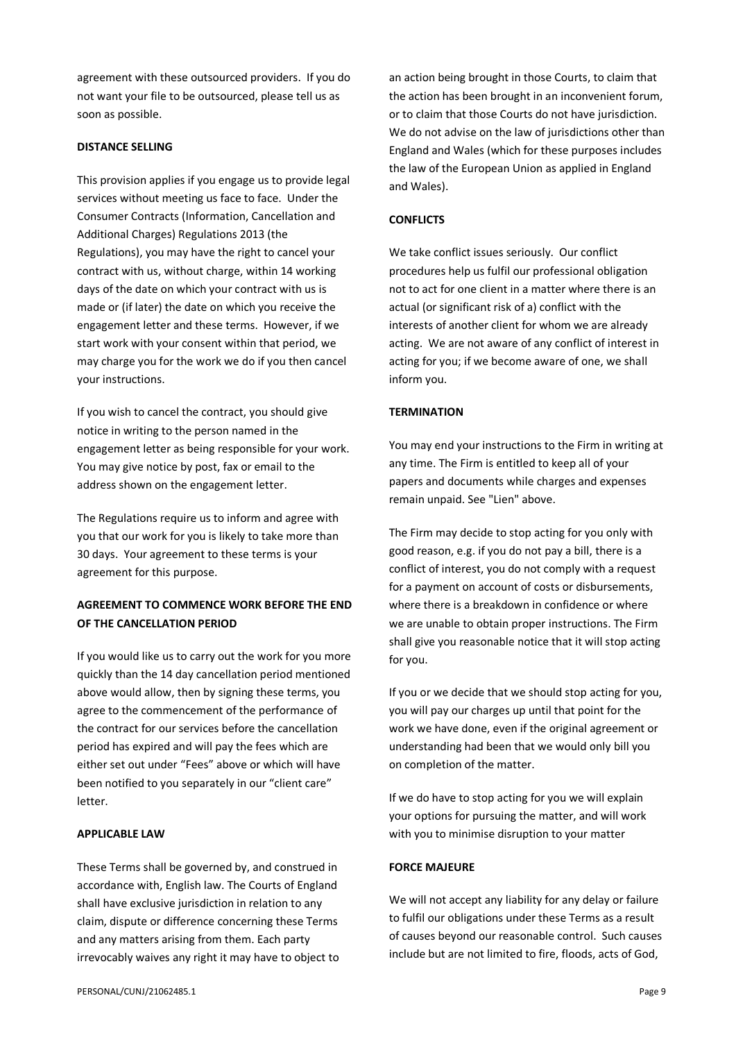agreement with these outsourced providers. If you do not want your file to be outsourced, please tell us as soon as possible.

# **DISTANCE SELLING**

This provision applies if you engage us to provide legal services without meeting us face to face. Under the Consumer Contracts (Information, Cancellation and Additional Charges) Regulations 2013 (the Regulations), you may have the right to cancel your contract with us, without charge, within 14 working days of the date on which your contract with us is made or (if later) the date on which you receive the engagement letter and these terms. However, if we start work with your consent within that period, we may charge you for the work we do if you then cancel your instructions.

If you wish to cancel the contract, you should give notice in writing to the person named in the engagement letter as being responsible for your work. You may give notice by post, fax or email to the address shown on the engagement letter.

The Regulations require us to inform and agree with you that our work for you is likely to take more than 30 days. Your agreement to these terms is your agreement for this purpose.

# **AGREEMENT TO COMMENCE WORK BEFORE THE END OF THE CANCELLATION PERIOD**

If you would like us to carry out the work for you more quickly than the 14 day cancellation period mentioned above would allow, then by signing these terms, you agree to the commencement of the performance of the contract for our services before the cancellation period has expired and will pay the fees which are either set out under "Fees" above or which will have been notified to you separately in our "client care" letter.

# **APPLICABLE LAW**

These Terms shall be governed by, and construed in accordance with, English law. The Courts of England shall have exclusive jurisdiction in relation to any claim, dispute or difference concerning these Terms and any matters arising from them. Each party irrevocably waives any right it may have to object to an action being brought in those Courts, to claim that the action has been brought in an inconvenient forum, or to claim that those Courts do not have jurisdiction. We do not advise on the law of jurisdictions other than England and Wales (which for these purposes includes the law of the European Union as applied in England and Wales).

# **CONFLICTS**

We take conflict issues seriously. Our conflict procedures help us fulfil our professional obligation not to act for one client in a matter where there is an actual (or significant risk of a) conflict with the interests of another client for whom we are already acting. We are not aware of any conflict of interest in acting for you; if we become aware of one, we shall inform you.

# **TERMINATION**

You may end your instructions to the Firm in writing at any time. The Firm is entitled to keep all of your papers and documents while charges and expenses remain unpaid. See "Lien" above.

The Firm may decide to stop acting for you only with good reason, e.g. if you do not pay a bill, there is a conflict of interest, you do not comply with a request for a payment on account of costs or disbursements, where there is a breakdown in confidence or where we are unable to obtain proper instructions. The Firm shall give you reasonable notice that it will stop acting for you.

If you or we decide that we should stop acting for you, you will pay our charges up until that point for the work we have done, even if the original agreement or understanding had been that we would only bill you on completion of the matter.

If we do have to stop acting for you we will explain your options for pursuing the matter, and will work with you to minimise disruption to your matter

#### **FORCE MAJEURE**

We will not accept any liability for any delay or failure to fulfil our obligations under these Terms as a result of causes beyond our reasonable control. Such causes include but are not limited to fire, floods, acts of God,